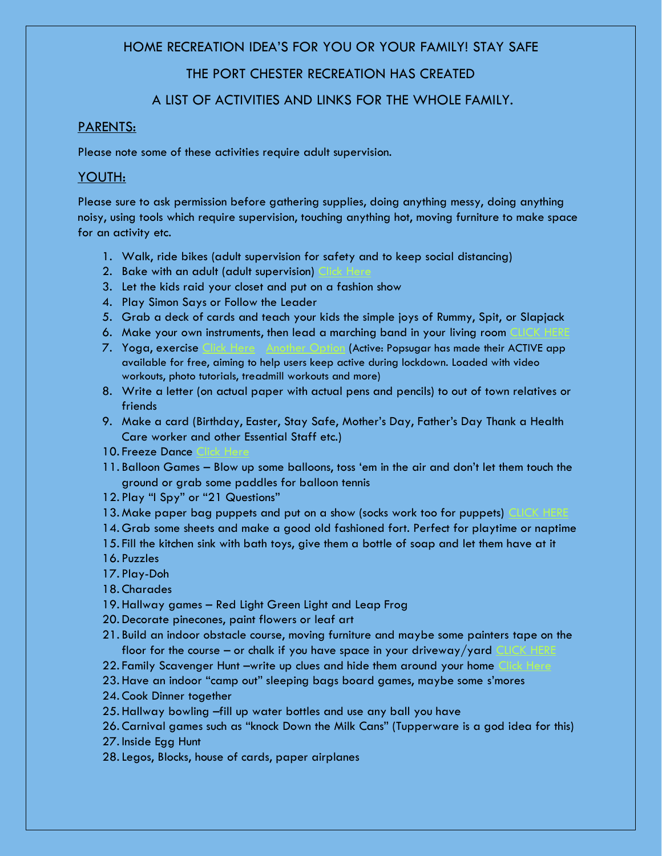## HOME RECREATION IDEA'S FOR YOU OR YOUR FAMILY! STAY SAFE

# THE PORT CHESTER RECREATION HAS CREATED

# A LIST OF ACTIVITIES AND LINKS FOR THE WHOLE FAMILY.

## PARENTS:

Please note some of these activities require adult supervision.

## YOUTH:

Please sure to ask permission before gathering supplies, doing anything messy, doing anything noisy, using tools which require supervision, touching anything hot, moving furniture to make space for an activity etc.

- 1. Walk, ride bikes (adult supervision for safety and to keep social distancing)
- 2. Bake with an adult (adult supervision)
- 3. Let the kids raid your closet and put on a fashion show
- 4. Play Simon Says or Follow the Leader
- 5. Grab a deck of cards and teach your kids the simple joys of Rummy, Spit, or Slapjack
- 6. Make your own instruments, then lead a marching band in your living room
- 7. Yoga, exercise [Click Here](https://www.fitnessblender.com/videos/fitness-blender-kids-workout-25-minute-fun-workout-for-kids-at-home) [Another Option](https://www.popsugar.com/family/exercise-dance-movement-youtube-channels-for-kids-47316017) (Active: Popsugar has made their ACTIVE app available for free, aiming to help users keep active during lockdown. Loaded with video workouts, photo tutorials, treadmill workouts and more)
- 8. Write a letter (on actual paper with actual pens and pencils) to out of town relatives or friends
- 9. Make a card (Birthday, Easter, Stay Safe, Mother's Day, Father's Day Thank a Health Care worker and other Essential Staff etc.)
- 10. Freeze Dance
- 11. Balloon Games Blow up some balloons, toss 'em in the air and don't let them touch the ground or grab some paddles for balloon tennis
- 12. Play "I Spy" or "21 Questions"
- 13. Make paper bag puppets and put on a show (socks work too for puppets)
- 14. Grab some sheets and make a good old fashioned fort. Perfect for playtime or naptime
- 15. Fill the kitchen sink with bath toys, give them a bottle of soap and let them have at it
- 16. Puzzles
- 17. Play-Doh
- 18. Charades
- 19. Hallway games Red Light Green Light and Leap Frog
- 20. Decorate pinecones, paint flowers or leaf art
- 21. Build an indoor obstacle course, moving furniture and maybe some painters tape on the floor for the course – or chalk if you have space in your driveway/yard
- 22. Family Scavenger Hunt –write up clues and hide them around your home
- 23. Have an indoor "camp out" sleeping bags board games, maybe some s'mores
- 24. Cook Dinner together
- 25. Hallway bowling –fill up water bottles and use any ball you have
- 26. Carnival games such as "knock Down the Milk Cans" (Tupperware is a god idea for this)
- 27. Inside Egg Hunt
- 28.Legos, Blocks, house of cards, paper airplanes